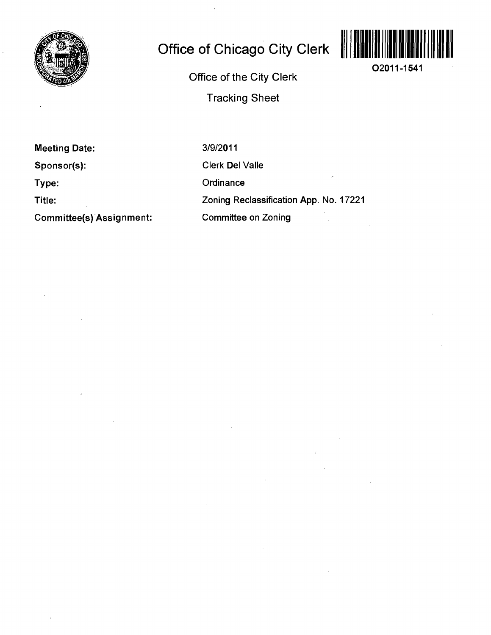

# **Office of Chicago City Clerk**



**02011-1541** 

**Office of the City Clerk** 

**Tracking Sheet** 

**Meeting Date:** 

**Sponsor(s):** 

**Type:** 

**Title:** 

**Committee(s) Assignment:** 

3/9/2011 Clerk Del Valle **Ordinance** Zoning Reclassification App. No. 17221 Committee on Zoning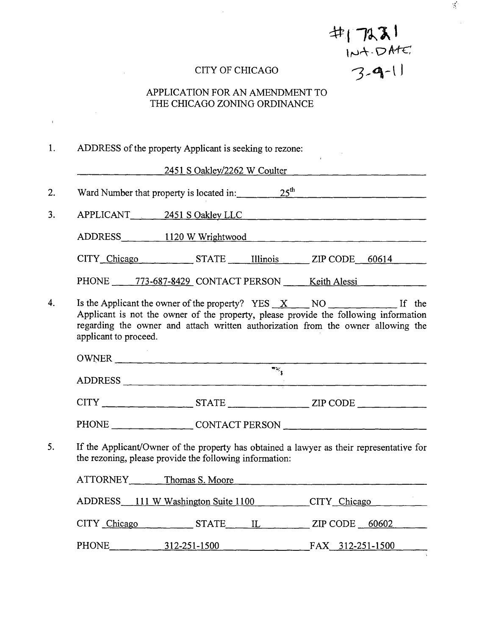$\#$ | 7231  $114.DATE$ <br>3-9-11

 $\mathcal{L}_{\mathcal{L}}$ 

#### CITY OF CHICAGO

## APPLICATION FOR AN AMENDMENT TO THE CHICAGO ZONING ORDINANCE

1. ADDRESS of the property Applicant is seeking to rezone:

2451 S Oakley/2262 W Coulter

2. Ward Number that property is located in: 25<sup>th</sup> 25<sup>th</sup>

3. APPLICANT 2451 SOakley LLC

 $\overline{1}$ 

 $ADDRESS$   $\qquad$   $\qquad$   $\qquad$  1120 W Wrightwood

CITY Chicago STATE Illinois ZIP CODE 60614

PHONE 773-687-8429 CONTACT PERSON Keith Alessi

Is the Applicant the owner of the property?  $YES_X = NO_1$  If the  $\overline{4}$ . Applicant is not the owner of the property, please provide the following information regarding the owner and attach written authorization from the owner allowing the applicant to proceed.

OWNER ADDRESS

 $CITY$   $STATE$   $ZIP$   $CODE$ 

PHONE CONTACT PERSON

5. If the Applicant/Owner of the property has obtained a lawyer as their representative for the rezoning, please provide the following information:

| ATTORNEY     | Thomas S. Moore                     |                  |
|--------------|-------------------------------------|------------------|
|              | ADDRESS 111 W Washington Suite 1100 | CITY Chicago     |
| CITY Chicago | <b>STATE</b><br>$\mathbf{L}$        | $ZIP$ CODE 60602 |
| PHONE        | 312-251-1500                        | FAX 312-251-1500 |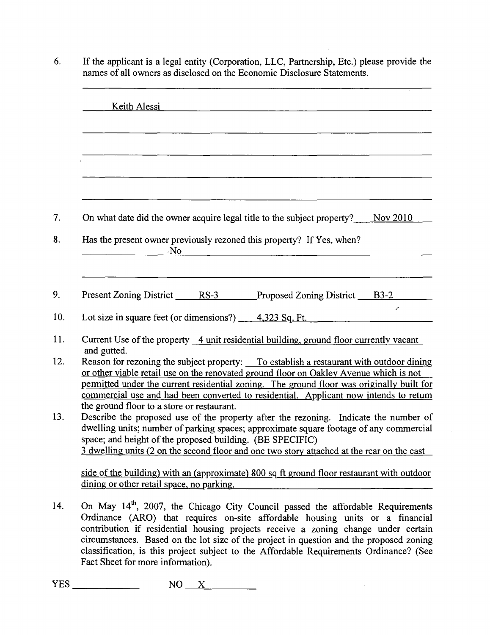|     | Keith Alessi<br>the control of the control of the control of the control of the control of the control of                                                                                                                                                                                                                                                                               |
|-----|-----------------------------------------------------------------------------------------------------------------------------------------------------------------------------------------------------------------------------------------------------------------------------------------------------------------------------------------------------------------------------------------|
|     |                                                                                                                                                                                                                                                                                                                                                                                         |
|     |                                                                                                                                                                                                                                                                                                                                                                                         |
| 7.  | On what date did the owner acquire legal title to the subject property?<br>Nov 2010                                                                                                                                                                                                                                                                                                     |
| 8.  | Has the present owner previously rezoned this property? If Yes, when?<br>No.                                                                                                                                                                                                                                                                                                            |
| 9.  | Present Zoning District RS-3 Proposed Zoning District B3-2                                                                                                                                                                                                                                                                                                                              |
| 10. | z<br>Lot size in square feet (or dimensions?) $\_\_\_$ 4,323 Sq. Ft.                                                                                                                                                                                                                                                                                                                    |
| 11. | Current Use of the property 4 unit residential building, ground floor currently vacant<br>and gutted.                                                                                                                                                                                                                                                                                   |
| 12. | Reason for rezoning the subject property: To establish a restaurant with outdoor dining<br>or other viable retail use on the renovated ground floor on Oakley Avenue which is not<br>permitted under the current residential zoning. The ground floor was originally built for<br>commercial use and had been converted to residential. Applicant now intends to retum                  |
| 13. | the ground floor to a store or restaurant.<br>Describe the proposed use of the property after the rezoning. Indicate the number of<br>dwelling units; number of parking spaces; approximate square footage of any commercial<br>space; and height of the proposed building. (BE SPECIFIC)<br>3 dwelling units (2 on the second floor and one two story attached at the rear on the east |
|     | side of the building) with an (approximate) 800 sq ft ground floor restaurant with outdoor<br>dining or other retail space, no parking.                                                                                                                                                                                                                                                 |
|     |                                                                                                                                                                                                                                                                                                                                                                                         |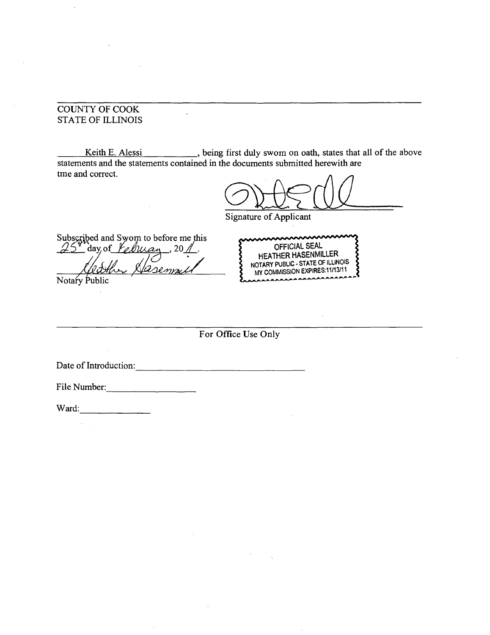#### COUNTY OF COOK STATE OF ILLINOIS

Keith E. Alessi \_\_\_\_\_\_\_, being first duly swom on oath, states that all of the above statements and the statements contained in the documents submitted herewith are tme and correct.

l.

Signature of Applicant

Subscribed and Swom to before me this 25 av of Kelman, 201.

Notary Public

mmmmmm OFFICIAL SEAL HEATHER HASENMILLER NOTARY PUBUC - STATE OF ILLINOIS MY COMMISSION EXPIRES.11/13^11  $\overline{a}$ 

**For Office Use Only** 

Date of Introduction:

File Number:

 $\hat{\boldsymbol{\beta}}$ 

Ward: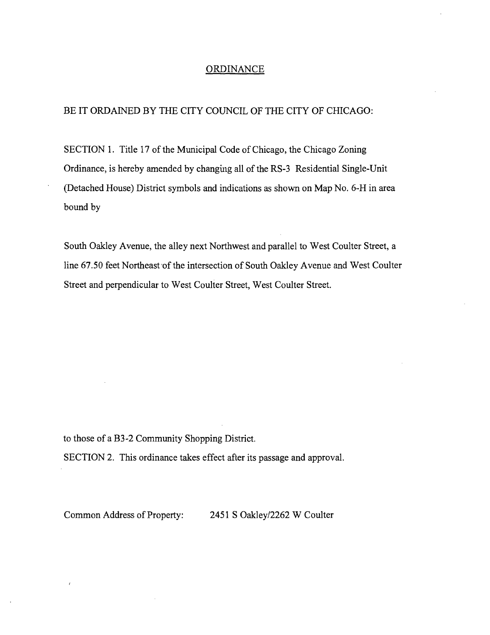#### **ORDINANCE**

#### BE IT ORDAINED BY THE CITY COUNCIL OF THE CITY OF CHICAGO:

SECTION 1. Title 17 of the Municipal Code of Chicago, the Chicago Zoning Ordinance, is hereby amended by changuig all of the RS-3 Residential Single-Unit (Detached House) District symbols and indications as shown on Map No. 6-H in area bound by

South Oakley Avenue, the alley next Northwest and parallel to West Coulter Street, a line 67.50 feet Northeast of the intersection of South Oakley Avenue and West Coulter Street and perpendicular to West Coulter Street, West Coulter Street.

to those of a B3-2 Community Shopping District.

 $\epsilon$ 

SECTION 2. This ordinance takes effect after its passage and approval.

Common Address of Property: 2451 S Oakley/2262 W Coulter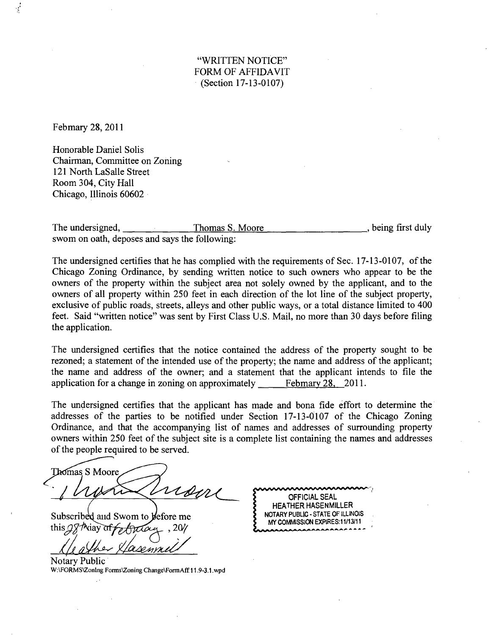"WRITTEN NOTICE" FORM OF AFFIDAVIT  $(Section 17-13-0107)$ 

Febmary 28, 2011

Honorable Daniel Solis Chairman, Committee on Zoning 121 North LaSalle Street Room 304, City Hall Chicago, Illinois 60602

The undersigned, Thomas S. Moore that the set of the set of the understanding first duly swom on oath, deposes and says the following:

The undersigned certifies that he has complied with the requirements of Sec. 17-13-0107, of the Chicago Zoning Ordinance, by sending written notice to such owners who appear to be the owners of the property within the subject area not solely owned by the applicant, and to the owners of all property within 250 feet in each direction of the lot line of the subject property, exclusive of public roads, streets, alleys and other public ways, or a total distance limited to 400 feet. Said "written notice" was sent by First Class U.S. Mail, no more than 30 days before filing the application.

The undersigned certifies that the notice contained the address of the property sought to be rezoned; a statement of the intended use of the property; the name and address of the applicant; the name and address of the owner; and a statement that the applicant intends to file the application for a change in zoning on approximately <u>Febmary 28, 2011</u>.

The undersigned certifies that the applicant has made and bona fide effort to determine the addresses of the parties to be notified under Section 17-13-0107 of the Chicago Zoning Ordinance, and that the accompanying list of names and addresses of surrounding property owners within 250 feet of the subject site is a complete list containing the names and addresses of the people required to be served.

Thomas S Moore Come

Subscribed and Swom to before me this  $\mathcal{Q} \nmid \mathcal{P}$  and  $\mathcal{P}$ 

Notary Public W:\FORMS\ZonIng Forms\Zoning Change\FormAff.11.9-3.1.wpd

OFFICIAL SEAL HEATHER HASENMILLER NOTARY PUBLIC - STATE OF ILLINOIS MY COMMISSION EXPIRES:11/13/11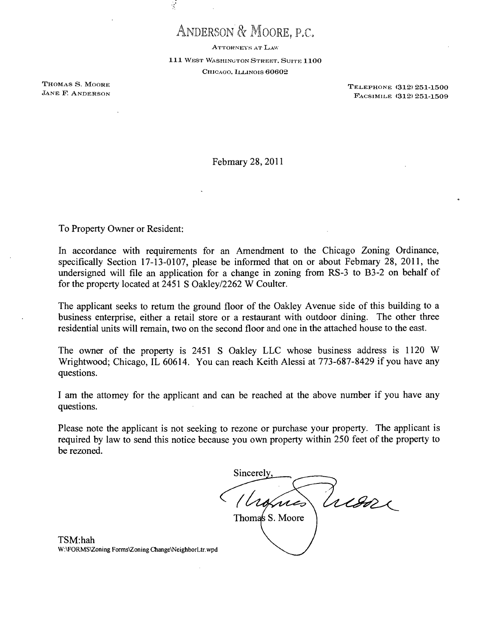## ANDERSON & MOORE, P.C.

 $\frac{1}{2}$ 

ATTORNEYS AT LAW

111 WEST WASHINGTON STREET. SUITE 1100 CHICAGO, ILLINOIS 60602

THOMAS S. MOORE<br>
TREEPHONE (312) 251-1500<br>
TREEPHONE (312) 251-1500<br>
TREEPHONE (312) 251-1500 FACSIMILE (312) 251-1509

Febmary 28, 2011

To Property Owner or Resident:

In accordance with requirements for an Amendment to the Chicago Zoning Ordinance, specifically Section 17-13-0107, please be informed that on or about Febmary 28, 2011, the undersigned will file an application for a change in zoning from RS-3 to B3-2 on behalf of for the property located at 2451 S Oakley/2262 W Coulter.

The applicant seeks to retum the ground floor of the Oakley Avenue side of this building to a business enterprise, either a retail store or a restaurant with outdoor dining. The other three residential units will remain, two on the second floor and one in the attached house to the east.

The owner of the property is 2451 S Oakley LLC whose business address is 1120 W Wrightwood; Chicago, IL 60614. You can reach Keith Alessi at 773-687-8429 if you have any questions.

I am the attomey for the applicant and can be reached at the above number if you have any questions.

Please note the applicant is not seeking to rezone or purchase your property. The applicant is required by law to send this notice because you own property within 250 feet of the property to be rezoned.

Sincerel Tuesse Vionnes Thomas S. Moore

TSM:hah W:\FORMS\Zoning Forms\Zoning ChangeNNeighborLtr.wpd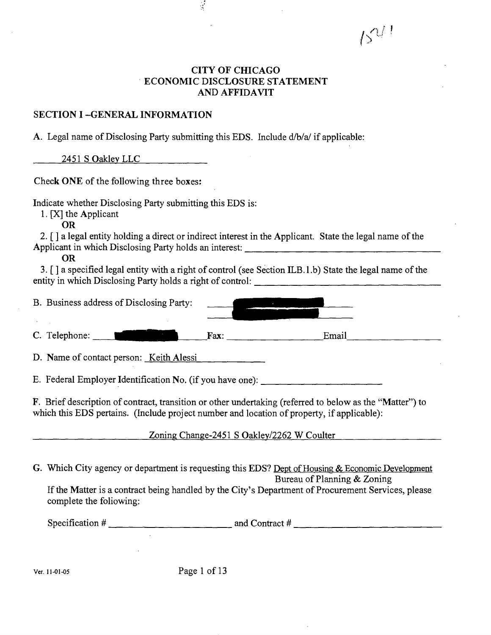**y '** 

## **CITY OF CHICAGO ECONOMIC DISCLOSURE STATEMENT AND AFFIDAVIT**

## **SECTION I -GENERAL INFORMATION**

A. Legal name of Disclosing Party submitting this EDS. Include d/b/a/if applicable:

9

2451 S Oakley LLC

**Check ONE of the following three boxes:** 

Indicate whether Disclosing Party submitting this EDS is:

1.  $[X]$  the Applicant

OR

2. [ ] a legal entity holding a direct or indirect interest in the Applicant. State the legal name of the Applicant in which Disclosing Party holds an interest:

OR

3. [ ] a specified legal entity with a right of control (see Section ILB.l.b) State the legal name of the entity in which Disclosing Party holds a right of control:

| B. Business address of Disclosing Party: |      |       |
|------------------------------------------|------|-------|
| C. Telephone: ___                        | Fax: | Email |
| D. Name of contact person: Keith Alessi  |      |       |

E. Federal Employer Identification No. (if you have one):

F. Brief description of contract, transition or other undertaking (refened to below as the "Matter") to which this EDS pertains. (Include project number and location of property, if applicable):

Zoning Change-2451 S Oakley/2262 W Coulter

G. Which City agency or department is requesting this EDS? Dept of Housing & Economic Development Bureau of Planning & Zoning

If the Matter is a contract being handled by the City's Department of Procurement Services, please complete the foliowing:

Specification  $\#$   $\qquad$   $\qquad$   $\qquad$   $\qquad$   $\qquad$   $\qquad$   $\qquad$   $\qquad$   $\qquad$   $\qquad$   $\qquad$   $\qquad$   $\qquad$   $\qquad$   $\qquad$   $\qquad$   $\qquad$   $\qquad$   $\qquad$   $\qquad$   $\qquad$   $\qquad$   $\qquad$   $\qquad$   $\qquad$   $\qquad$   $\qquad$   $\qquad$   $\qquad$   $\qquad$   $\qquad$   $\qquad$   $\qquad$   $\qquad$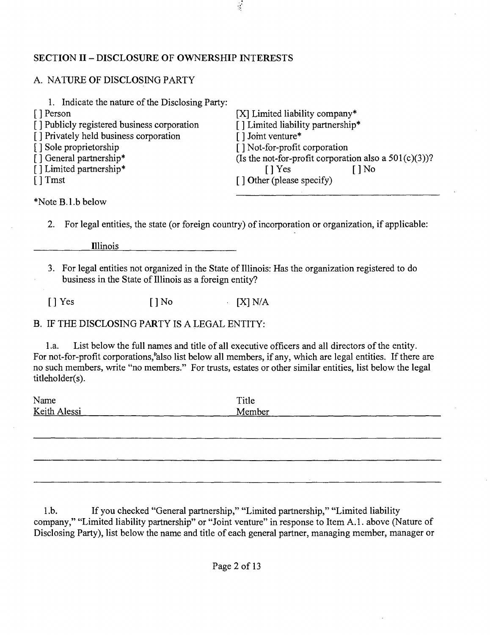## **SECTION II - DISCLOSURE OF OWNERSHIP INTERESTS**

## A. NATURE OF DISCLOSING PARTY

| 1. Indicate the nature of the Disclosing Party: |                                                          |
|-------------------------------------------------|----------------------------------------------------------|
| [ ] Person                                      | [X] Limited liability company*                           |
| [] Publicly registered business corporation     | [] Limited liability partnership*                        |
| [] Privately held business corporation          | $\lceil$ ] Joint venture*                                |
| [] Sole proprietorship                          | [] Not-for-profit corporation                            |
| [] General partnership*                         | (Is the not-for-profit corporation also a $501(c)(3)$ )? |
| [] Limited partnership*                         | $\log$<br>$\lceil \cdot \rceil$ Yes                      |
| $\lceil$ Tmst                                   | [] Other (please specify)                                |
|                                                 |                                                          |

 $\frac{1}{2}$ 

\*Note B.l.b below

2. For legal entities, the state (or foreign country) of incorporation or organization, if applicable:

Illinois

3. For legal entities not organized in the State of Illinois: Has the organization registered to do business in the State of Illinois as a foreign entity?

 $[$  | Yes  $[$  | No  $[$   $[$   $]$  N/A

B. IF THE DISCLOSING PARTY IS A LEGAL ENTITY:

1 .a. List below the full names and title of all executive officers and all directors of the entity. For not-for-profit corporations,\*also list below all members, if any, which are legal entities. If there are no such members, write "no members." For trusts, estates or other similar entities, list below the legal titleholder(s).

| Name         | Title  |
|--------------|--------|
| Keith Alessi | Member |
|              |        |

1 .b. If you checked "General partnership," "Limited partnership," "Limited liability company," "Limited liability partnership" or "Joint venture" in response to Item A. 1. above (Nature of Disclosing Party), list below the name and title of each general partner, managing member, manager or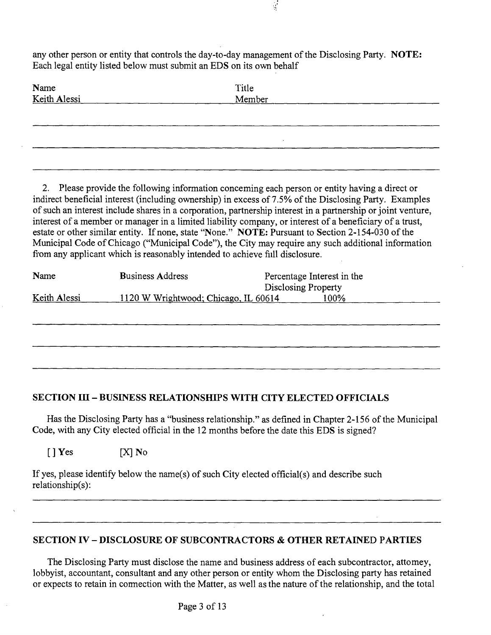any other person or entity that controls the day-to-day management of the Disclosing Party. NOTE: Each legal entity listed below must submit an EDS on its own behalf

 $\frac{1}{2}$ 

| Name<br>Keith Alessi | Title<br>Member |  |
|----------------------|-----------------|--|
|                      |                 |  |
|                      |                 |  |

2. Please provide the following information conceming each person or entity having a direct or indirect beneficial interest (including ownership) in excess of 7.5% of the Disclosing Party. Examples of such an interest include shares in a corporation, partnership interest in a partnership or joint venture, interest of a member or manager in a limited liability company, or interest of a beneficiary of a trust, estate or other similar entity. If none, state "None." NOTE: Pursuant to Section 2-154-030 of the Municipal Code of Chicago ("Municipal Code"), the City may require any such additional information from any applicant which is reasonably intended to achieve fiill disclosure.

| Name         | <b>Business Address</b>              | Percentage Interest in the |
|--------------|--------------------------------------|----------------------------|
|              |                                      | Disclosing Property        |
| Keith Alessi | 1120 W Wrightwood; Chicago, IL 60614 | 100%                       |
|              |                                      |                            |
|              |                                      |                            |

## **SECTION III - BUSINESS RELATIONSHIPS WITH CITY ELECTED OFFICIALS**

Has the Disclosing Party has a "business relationship." as defined in Chapter 2-156 of the Municipal Code, with any City elected official in the 12 months before the date this EDS is signed?

 $[ ]$  Yes  $[ X ]$  No

If yes, please identify below the name(s) of such City elected official(s) and describe such relationship(s):

## **SECTION IV - DISCLOSURE OF SUBCONTRACTORS & OTHER RETAINED PARTIES**

The Disclosing Party must disclose the name and business address of each subcontractor, attomey, lobbyist, accountant, consultant and any other person or entity whom the Disclosing party has retained or expects to retain in cormection with the Matter, as well as the nature of the relationship, and the total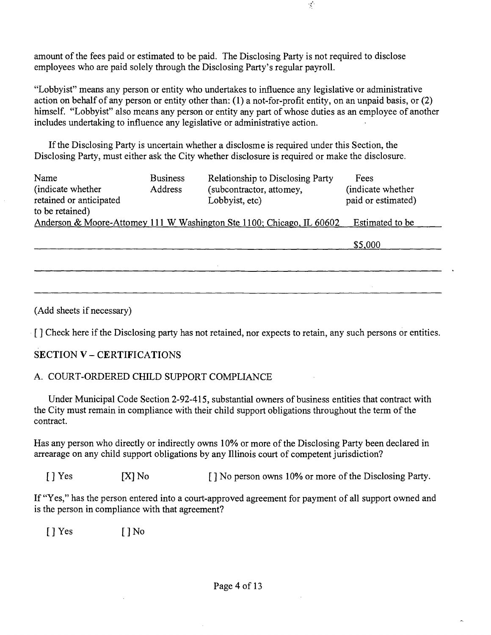amount of the fees paid or estimated to be paid. The Disclosing Party is not required to disclose employees who are paid solely through the Disclosing Party's regular payroll.

"Lobbyist" means any person or entity who undertakes to influence any legislative or administrative action on behalf of any person or entity other than: (1) a not-for-profit entity, on an unpaid basis, or (2) himself. "Lobbyist" also means any person or entity any part of whose duties as an employee of another includes undertaking to influence any legislative or administrative action.

If the Disclosing Party is uncertain whether a disclosme is required under this Section, the Disclosing Party, must either ask the City whether disclosure is required or make the disclosure.

| Name                    | <b>Business</b> | <b>Relationship to Disclosing Party</b>                               | Fees               |
|-------------------------|-----------------|-----------------------------------------------------------------------|--------------------|
| (indicate whether)      | Address         | (subcontractor, attomey,                                              | (indicate whether) |
| retained or anticipated |                 | Lobbyist, etc)                                                        | paid or estimated) |
| to be retained)         |                 |                                                                       |                    |
|                         |                 | Anderson & Moore-Attomey 111 W Washington Ste 1100; Chicago, IL 60602 | Estimated to be    |
|                         |                 |                                                                       |                    |
|                         |                 |                                                                       | \$5,000            |
|                         |                 |                                                                       |                    |

(Add sheets if necessary)

[ ] Check here if the Disclosing party has not retained, nor expects to retain, any such persons or entities.

## **SECTION V - CERTIFICATIONS**

## A. COURT-ORDERED CHILD SUPPORT COMPLIANCE

Under Municipal Code Section 2-92-415, substantial owners of business entities that contract with the City must remain in compliance with their child support obligations throughout the term of the contract.

Has any person who directly or indirectly owns 10% or more of the Disclosing Party been declared in arrearage on any child support obligations by any Illinois court of competent jurisdiction?

[ ] Yes [X] No [ ] No person owns 10% or more of the Disclosing Party.

If "Yes," has the person entered into a court-approved agreement for payment of all support owned and is the person in compliance with that agreement?

 $[$  ]  $Yes$   $[$   $]$   $No$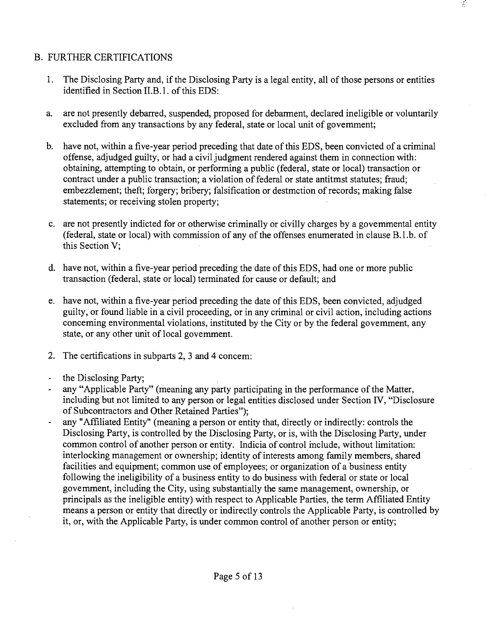## B. FURTHER CERTIFICATIONS

- 1. The Disclosing Party and, if the Disclosing Party is a legal entity, all of those persons or entities identified in Section II.B.1. of this EDS:
- a. are not presently debarred, suspended, proposed for debarment, declared ineligible or voluntarily excluded from any transactions by any federal, state or local unit of govemment;
- b. have not, within a five-year period preceding that date of this EDS, been convicted of a criminal offense, adjudged guilty, or had a civil judgment rendered against them in connection with: obtaining, attempting to obtain, or performing a public (federal, state or local) transaction or contract under a public transaction; a violation of federal or state antitmst statutes; fraud; embezzlement; theft; forgery; bribery; falsification or destmction of records; making false statements; or receiving stolen property;
- c. are not presently indicted for or otherwise criminally or civilly charges by a govemmental entity (federal, state or local) with commission of any of the offenses enumerated in clause B.l.b. of this Section V;
- d. have not, within a five-year period preceding the date of this EDS, had one or more public transaction (federal, state or local) terminated for cause or default; and
- e. have not, within a five-year period preceding the date of this EDS, been convicted, adjudged guilty, or found liable in a civil proceeding, or in any criminal or civil action, including actions conceming environmental violations, instituted by the City or by the federal govemment, any state, or any other unit of local govemment.
- 2. The certifications in subparts 2, 3 and 4 concem:
- the Disclosing Party;  $\Box$
- any "Applicable Party" (meaning any party participating in the performance of the Matter, including but not limited to any person or legal entities disclosed under Section IV, "Disclosure of Subcontractors and Other Retained Parties");
- any "Affiliated Entity" (meaning a person or entity that, directly or indirectly: controls the Disclosing Party, is controlled by the Disclosing Party, or is, with the Disclosing Party, under common control of another person or entity. Indicia of control mclude, without limitation: interlocking management or ownership; identity of interests among family members, shared facilities and equipment; common use of employees; or organization of a business entity following the ineligibility of a business entity to do business with federal or state or local govemment, including the City, using substantially the same management, ownership, or principals as the ineligible entity) with respect to Applicable Parties, the term Affiliated Entity means a person or entity that directly or indirectly controls the Applicable Party, is controlled by it, or, with the Applicable Party, is under common control of another person or entity;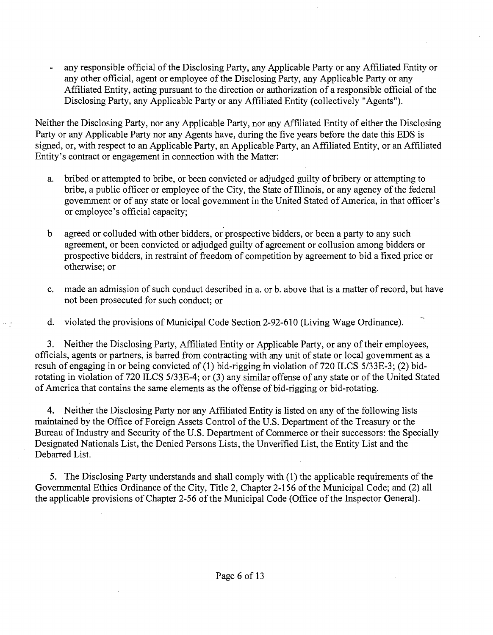any responsible official of the Disclosing Party, any Applicable Party or any Affiliated Entity or any other official, agent or employee of the Disclosing Party, any Applicable Party or any Affiliated Entity, acting pursuant to the direction or authorization of a responsible official of the Disclosing Party, any Applicable Party or any Affiliated Entity (collectively "Agents").

Neither the Disclosing Party, nor any Applicable Party, nor any Affiliated Entity of either the Disclosing Party or any Applicable Party nor any Agents have, during the five years before the date this EDS is signed, or, with respect to an Applicable Party, an Applicable Party, an Affiliated Entity, or an Affiliated Entity's contract or engagement in connection with the Matter:

- a. bribed or attempted to bribe, or been convicted or adjudged guilty of bribery or attempting to bribe, a public officer or employee of the City, the State of Illinois, or any agency of the federal govemment or of any state or local govemment in the United Stated of America, in that officer's or employee's official capacity;
- b agreed or colluded with other bidders, or prospective bidders, or been a party to any such agreement, or been convicted or adjudged guilty of agreement or collusion among bidders or prospective bidders, in restraint of freedorn of competition by agreement to bid a fixed price or otherwise; or
- c. made an admission of such conduct described in a. or b. above that is a matter of record, but have not been prosecuted for such conduct; or

 $\mathbb{Z}_2^*$ 

d. violated the provisions of Municipal Code Section 2-92-610 (Living Wage Ordinance).

3. Neither the Disclosing Party, Affiliated Entity or Applicable Party, or any of their employees, officials, agents or partners, is barred from contracting with any unit of state or local govemment as a resuh of engaging in or being convicted of (1) bid-rigging m violation of 720 ILCS 5/33E-3; (2) bidrotating in violation of 720 ILCS 5/33E-4; or (3) any similar offense of any state or of the United Stated of America that contains the same elements as the offense of bid-rigging or bid-rotating.

4. Neither the Disclosing Party nor any Affiliated Entity is listed on any of the following lists maintained by the Office of Foreign Assets Control of the U.S. Department of the Treasury or the Bureau of Industry and Security of the U.S. Department of Commerce or their successors: the Specially Designated Nationals List, the Denied Persons Lists, the Unverified List, the Entity List and the Debarred List.

5. The Disclosing Party understands and shall comply with (1) the applicable requirements of the Governmental Ethics Ordinance of the City, Title 2, Chapter 2-156 of the Municipal Code; and (2) all the applicable provisions of Chapter 2-56 of the Municipal Code (Office of the Inspector General).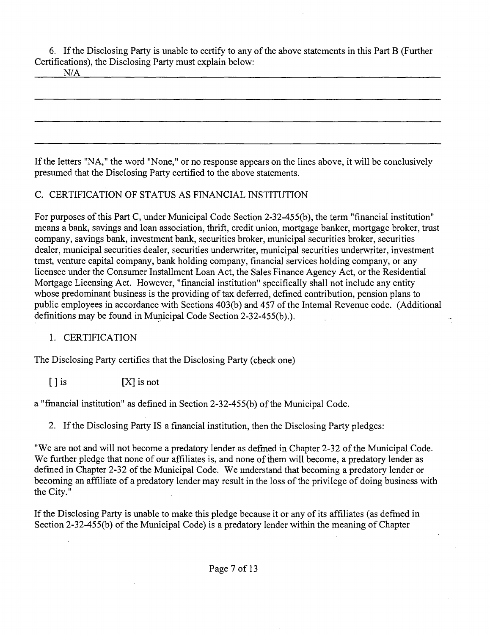6. If the Disclosing Party is unable to certify to any of the above statements in this Part B (Further Certifications), the Disclosing Party must explain below:

 $N/A$ 

If the letters "NA," the word "None," or no response appears on the lines above, it will be conclusively presumed that the Disclosing Party certified to the above statements.

## C. CERTIFICATION OF STATUS AS FINANCIAL INSTITUTION

For purposes of this Part C, under Municipal Code Section 2-32-455(b), the term "financial institution" . means a bank, savings and loan association, thrift, credit union, mortgage banker, mortgage broker, trast company, savings bank, investment bank, securities broker, municipal securities broker, securities dealer, municipal securities dealer, securities underwriter, municipal securities underwriter, investment tmst, venture capital company, bank holding company, financial services holding company, or any licensee under the Consumer Installment Loan Act, the Sales Finance Agency Act, or the Residential Mortgage Licensing Act. However, "financial institution" specifically shall not include any entity whose predominant business is the providing of tax deferred, defined contribution, pension plans to public employees in accordance with Sections 403(b) and 457 of the Intemal Revenue code. (Additional definitions may be found in Municipal Code Section 2-32-455(b).).

## 1. CERTIFICATION

The Disclosing Party certifies that the Disclosing Party (check one)

 $[ \ ]$  is  $[ \ ]$  is not

a "fmancial institution" as defined in Section 2-32-455(b) of the Municipal Code.

2. If the Disclosing Party IS a financial institution, then the Disclosing Party pledges:

"We are not and will not become a predatory lender as defmed in Chapter 2-32 of the Municipal Code. We further pledge that none of our affiliates is, and none of them will become, a predatory lender as defmed in Chapter 2-32 of the Municipal Code. We imderstand that becoming a predatory lender or becoming an affiliate of a predatory lender may result in the loss of the privilege of doing business with the City."

If the Disclosing Party is unable to make this pledge because it or any of its affiliates (as defmed in Section 2-32-455(b) of the Municipal Code) is a predatory lender within the meaning of Chapter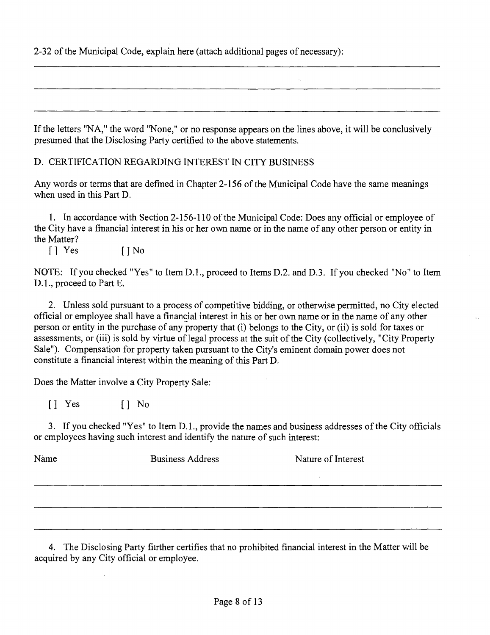2-32 of the Municipal Code, explain here (attach additional pages of necessary):

If the letters "NA," the word "None," or no response appears on the lines above, it will be conclusively presumed that the Disclosing Party certified to the above statements.

D. CERTIFICATION REGARDING INTEREST IN CITY BUSINESS

Any words or terms that are defmed in Chapter 2-156 of the Municipal Code have the same meanings when used in this Part D.

1. In accordance with Section 2-156-110 of the Municipal Code: Does any official or employee of the City have a fmancial interest in his or her own name or in the name of any other person or entity in the Matter?

[] Yes [] No

NOTE: If you checked "Yes" to Item D.L, proceed to Items D.2. and D.3. If you checked "No" to Item D.1., proceed to Part E.

2. Unless sold pursuant to a process of competitive bidding, or otherwise permitted, no City elected official or employee shall have a financial interest in his or her own name or in the name of any other person or entity in the purchase of any property that (i) belongs to the City, or (ii) is sold for taxes or assessments, or (iii) is sold by virtue of legal process at the suit of the City (collectively, "City Property Sale"). Compensation for property taken pursuant to the City's eminent domain power does not constitute a financial interest within the meaning of this Part D.

Does the Matter involve a City Property Sale:

[] Yes [] No

3. If you checked "Yes" to Item D.l., provide the names and business addresses of the City officials or employees having such interest and identify the nature of such interest:

| Name | <b>Business Address</b> | Nature of Interest |
|------|-------------------------|--------------------|
|      |                         |                    |
|      |                         |                    |
|      |                         |                    |

4. The Disclosing Party fiirther certifies that no prohibited financial interest in the Matter will be acquired by any City official or employee.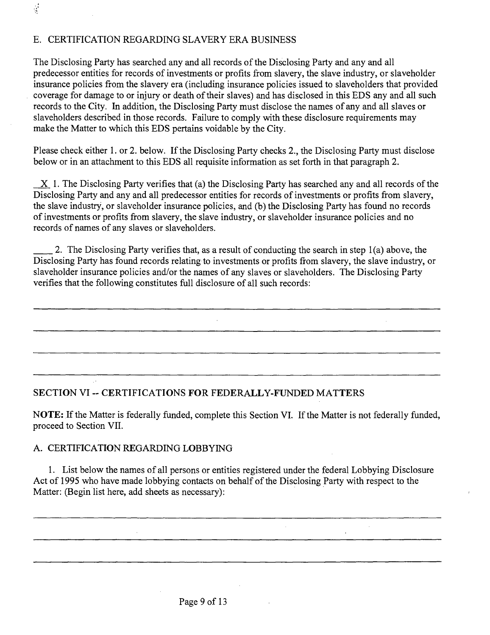## E. CERTIFICATION REGARDING SLAVERY ERA BUSINESS

 $\frac{1}{2}$ 

The Disclosing Party has searched any and all records of the Disclosing Party and any and all predecessor entities for records of investments or profits from slavery, the slave industry, or slaveholder insurance policies from the slavery era (including insurance policies issued to slaveholders that provided coverage for damage to or injury or death of their slaves) and has disclosed in this EDS any and all such records to the City. In addition, the Disclosing Party must disclose the names of any and all slaves or slaveholders described in those records. Failure to comply with these disclosure requirements may make the Matter to which this EDS pertains voidable by the City.

Please check either 1. or 2. below. If the Disclosing Party checks 2., the Disclosing Party must disclose below or in an attachment to this EDS all requisite information as set forth in that paragraph 2.

 $X$  1. The Disclosing Party verifies that (a) the Disclosing Party has searched any and all records of the Disclosing Party and any and all predecessor entities for records of investments or profits from slavery, the slave industry, or slaveholder insurance policies, and (b) the Disclosing Party has found no records of investments or profits from slavery, the slave industry, or slaveholder insurance policies and no records of names of any slaves or slaveholders.

2. The Disclosing Party verifies that, as a result of conducting the search in step 1(a) above, the Disclosing Party has found records relating to investments or profits from slavery, the slave industry, or slaveholder insurance policies and/or the names of any slaves or slaveholders. The Disclosing Party verifies that the following constitutes full disclosure of all such records:

## **SECTION VI ~ CERTIFICATIONS FOR FEDERALLY-FUNDED MATTERS**

NOTE: If the Matter is federally funded, complete this Section VI. If the Matter is not federally funded, proceed to Section VII.

## A. CERTIFICATION REGARDING LOBBYING

1. List below the names of all persons or entities registered under the federal Lobbying Disclosure Act of 1995 who have made lobbying contacts on behalf of the Disclosing Party with respect to the Matter: (Begin list here, add sheets as necessary):

 $\Delta \sim 10$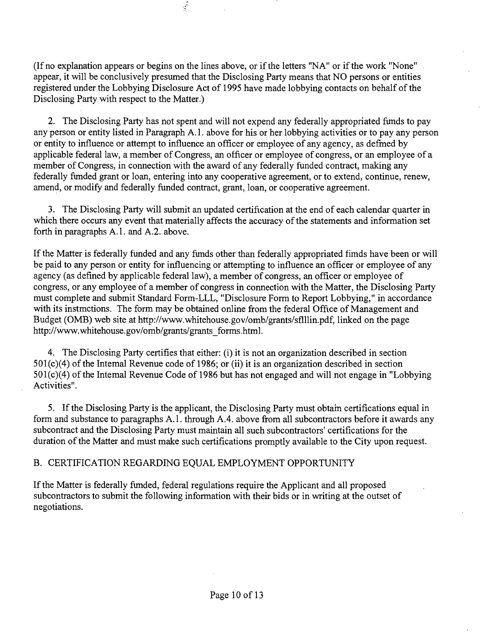(If no explanation appears or begins on the lines above, or if the letters "NA" or if the work "None" appear, it will be conclusively presumed that the Disclosing Party means that NO persons or entities registered under the Lobbying Disclosure Act of 1995 have made lobbying contacts on behalf of the Disclosing Party with respect to the Matter.)

2. The Disclosing Party has not spent and will not expend any federally appropriated fimds to pay any person or entity listed in Paragraph A.l . above for his or her lobbying activities or to pay any person or entity to influence or attempt to influence an officer or employee of any agency, as defmed by applicable federal law, a member of Congress, an officer or employee of congress, or an employee of a member of Congress, in connection with the award of any federally funded contract, making any federally fimded grant or loan, entering into any cooperative agreement, or to extend, continue, renew, amend, or modify and federally funded contract, grant, loan, or cooperative agreement.

3. The Disclosing Party will submit an updated certification at the end of each calendar quarter in which there occurs any event that materially affects the accuracy of the statements and information set forth in paragraphs A.1. and A.2. above.

If the Matter is federally funded and any fimds other than federally appropriated fimds have been or will be paid to any person or entity for influencing or attempting to influence an officer or employee of any agency (as defined by applicable federal law), a member of congress, an officer or employee of congress, or any employee of a member of congress in connection with the Matter, the Disclosing Party must complete and submit Standard Form-LLL, "Disclosure Form to Report Lobbying," in accordance with its instmctions. The form may be obtained online from the federal Office of Management and Budget (OMB) web site at http://www.whitehouse.gov/omb/grants/sflllin.pdf, linked on the page http://www.whitehouse.gov/omb/grants/grants\_forms.html.

4. The Disclosing Party certifies that either: (i) it is not an organization described in section  $501(c)(4)$  of the Intemal Revenue code of 1986; or (ii) it is an organization described in section  $501(c)(4)$  of the Intemal Revenue Code of 1986 but has not engaged and will not engage in "Lobbying" Activities".

5. If the Disclosing Party is the applicant, the Disclosing Party must obtam certifications equal in form and substance to paragraphs A.l . through A.4. above from all subcontractors before it awards any subcontract and the Disclosing Party must maintain all such subcontractors' certifications for the duration of the Matter and must make such certifications promptly available to the City upon request.

## B. CERTIFICATION REGARDING EQUAL EMPLOYMENT OPPORTUNITY

If the Matter is federally fimded, federal regulations require the Applicant and all proposed subcontractors to submit the following information with their bids or in writing at the outset of negotiations.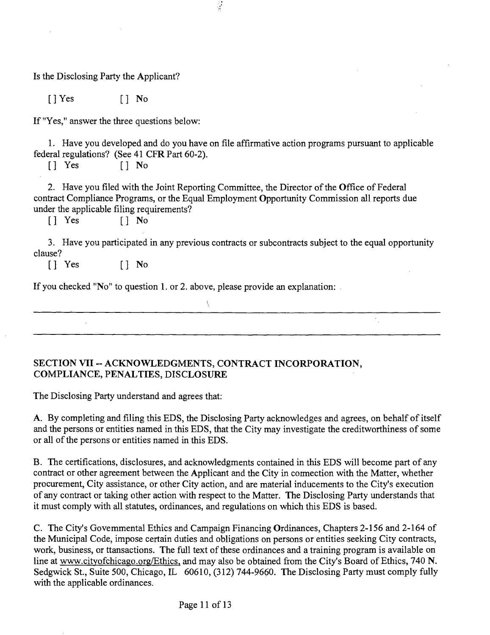Is the Disclosing Party the Applicant?

[]Yes [] No

If "Yes," answer the three questions below:

1. Have you developed and do you have on file affirmative action programs pursuant to applicable federal regulations? (See 41 CFR Part 60-2).<br> $\begin{bmatrix} \end{bmatrix}$  Yes  $\begin{bmatrix} \end{bmatrix}$  No

 $\frac{1}{2}$ 

 $[]$  No

2. Have you filed with the Joint Reporting Committee, the Director of the Office of Federal contract Compliance Programs, or the Equal Employment Opportunity Commission all reports due under the applicable filing requirements?<br>
[] Yes [] No

 $[$   $]$  Yes

3. Have you participated in any previous contracts or subcontracts subject to the equal opportunity clause?

[] Yes [] No

If you checked "No" to question 1. or 2. above, please provide an explanation:

## **SECTION VII - ACKNOWLEDGMENTS, CONTRACT INCORPORATION, COMPLIANCE, PENALTIES, DISCLOSURE**

The Disclosing Party understand and agrees that:

A. By completing and filing this EDS, the Disclosing Party acknowledges and agrees, on behalf of itself and the persons or entities named in this EDS, that the City may investigate the creditworthiness of some or all of the persons or entities named in this EDS.

B. The certifications, disclosures, and acknowledgments contained in this EDS will become part of any contract or other agreement between the Applicant and the City in cormection with the Matter, whether procurement, City assistance, or other City action, and are material inducements to the City's execution of any contract or taking other action with respect to the Matter. The Disclosing Party understands that it must comply with all statutes, ordinances, and regulations on which this EDS is based.

C. The City's Govemmental Ethics and Campaign Financing Ordinances, Chapters 2-156 and 2-164 of the Municipal Code, impose certain duties and obligations on persons or entities seeking City contracts, work, business, or ttansactions. The full text of these ordinances and a training program is available on line at www.cityofchicago.org/Ethics, and may also be obtained from the City's Board of Ethics, 740 N. Sedgwick St., Suite 500, Chicago, IL 60610, (312) 744-9660. The Disclosing Party must comply fully with the applicable ordinances.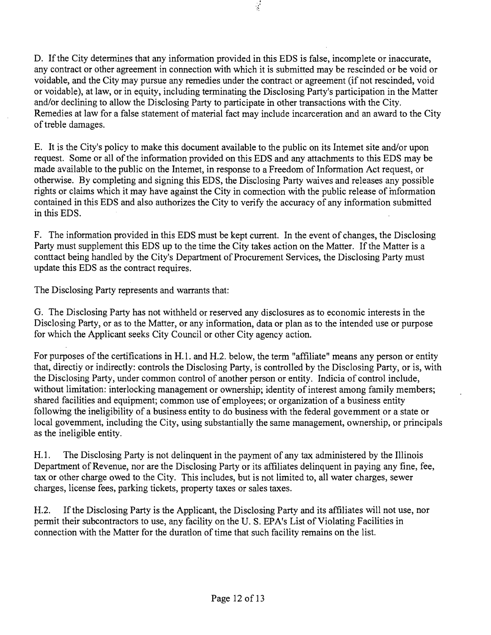D. If the City determines that any information provided in this EDS is false, incomplete or inaccurate, any contract or other agreement in connection with which it is submitted may be rescinded or be void or voidable, and the City may pursue any remedies under the contract or agreement (if not rescinded, void or voidable), at law, or in equity, including terminating the Disclosing Party's participation in the Matter and/or declining to allow the Disclosing Party to participate in other transactions with the City. Remedies at law for a false statement of material fact may include incarceration and an award to the City of treble damages.

 $\mathcal{I}$ 

E. It is the City's policy to make this document available to the public on its Intemet site and/or upon request. Some or all of the information provided on this EDS and any attachments to this EDS may be made available to the public on the Intemet, in response to a Freedom of Information Act request, or otherwise. By completing and signing this EDS, the Disclosing Party waives and releases any possible rights or claims which it may have against the City in connection with the public release of mformation contained in this EDS and also authorizes the City to verify the accuracy of any information submitted in this EDS.

F. The information provided in this EDS must be kept current. In the event of changes, the Disclosing Party must supplement this EDS up to the time the City takes action on the Matter. If the Matter is a conttact being handled by the City's Department of Procurement Services, the Disclosing Party must update this EDS as the contract requires.

The Disclosing Party represents and warrants that:

G. The Disclosing Party has not withheld or reserved any disclosures as to economic interests in the Disclosing Party, or as to the Matter, or any information, data or plan as to the intended use or purpose for which the Applicant seeks City Council or other City agency action.

For purposes of the certifications in H.l. and H.2. below, the term "affiliate" means any person or entity that, directiy or indirectly: controls the Disclosing Party, is controlled by the Disclosing Party, or is, with the Disclosing Party, under common control of another person or entity. Indicia of control include, without limitation: interlocking management or ownership; identity of interest among family members; shared facilities and equipment; common use of employees; or organization of a business entity followmg the ineligibility of a business entity to do business with the federal govemment or a state or local govemment, including the City, using substantially the same management, ownership, or principals as the ineligible entity.

H.1. The Disclosing Party is not delinquent in the payment of any tax administered by the Illinois Department of Revenue, nor are the Disclosing Party or its affiliates delinquent in paying any fine, fee, tax or other charge owed to the City. This includes, but is not limited to, all water charges, sewer charges, license fees, parking tickets, property taxes or sales taxes.

H.2. If the Disclosing Party is the Applicant, the Disclosing Party and its affiliates will not use, nor permit their subcontractors to use, any facility on the U. S. EPA's List of Violating Facilities in connection with the Matter for the duration of time that such facility remains on the list.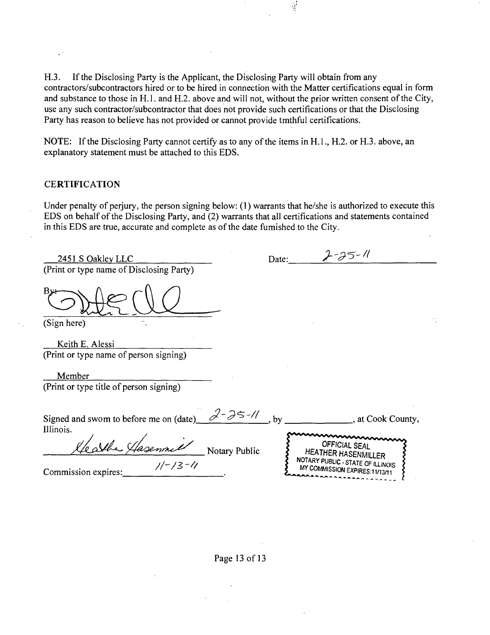H.3. If the Disclosing Party is the Applicant, the Disclosing Party will obtain from any contractors/subcontractors hired or to be hired in connection with the Matter certifications equal in form and substance to those in H.1. and H.2. above and will not, without the prior written consent of the City, use any such contractor/subcontractor that does not provide such certifications or that the Disclosing Party has reason to believe has not provided or cannot provide tmthful certifications.

NOTE: If the Disclosing Party cannot certify as to any of the items in H.1., H.2. or H.3. above, an explanatory statement must be attached to this EDS.

#### **CERTIFICATION**

Under penalty of perjury, the person signing below:  $(1)$  warrants that he/she is authorized to execute this EDS on behalf of the Disclosing Party, and (2) warrants that all certifications and statements contained in this EDS are true, accurate and complete as of the date fumished to the City.

| 2451 S Oakley LLC                                   |                | Date: | $2 - 25 - 11$                                                       |  |
|-----------------------------------------------------|----------------|-------|---------------------------------------------------------------------|--|
| (Print or type name of Disclosing Party)            |                |       |                                                                     |  |
|                                                     |                |       |                                                                     |  |
| (Sign here)                                         |                |       |                                                                     |  |
| Keith E. Alessi                                     |                |       |                                                                     |  |
| (Print or type name of person signing)              |                |       |                                                                     |  |
| Member                                              |                |       |                                                                     |  |
| (Print or type title of person signing)             |                |       |                                                                     |  |
| Signed and swom to before me on (date)<br>Illinois. | $2-25-11$ , by |       | , at Cook County,                                                   |  |
| e alber Hasennie                                    | Notary Public  |       | <b>OFFICIAL SEAL</b><br><b>HEATHER HASENMILLER</b>                  |  |
| $1/-/3$ -11<br>Commission expires:                  |                |       | NOTARY PUBLIC - STATE OF ILLINOIS<br>MY COMMISSION EXPIRES:11/13/11 |  |

#### Page 13 of 13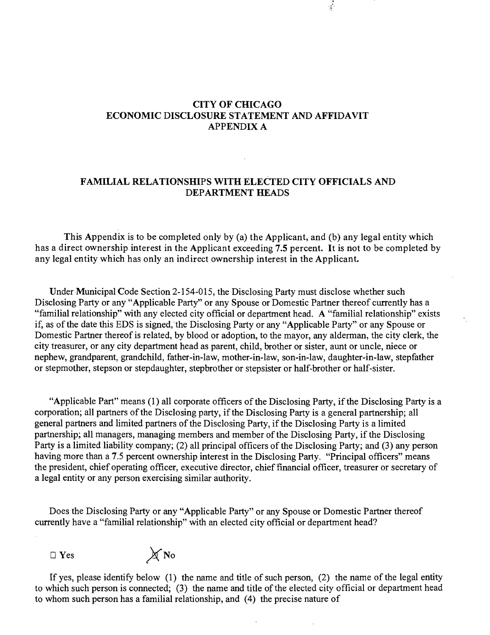## **CITY OF CHICAGO ECONOMIC DISCLOSURE STATEMENT AND AFFIDAVIT APPENDIX A**

 $\mathcal{L}$ 

## **FAMILIAL RELATIONSHIPS WITH ELECTED CITY OFFICIALS AND DEPARTMENT HEADS**

**This Appendix is to be completed only by (a) the Applicant, and (b) any legal entity which has a direct ownership interest in the Applicant exceeding 7.5 percent. It is not to be completed by any legal entity which has only an indirect ownership interest in the Applicant.** 

Under Municipal Code Section 2-154-015, the Disclosing Party must disclose whether such Disclosing Party or any "Applicable Party" or any Spouse or Domestic Partner thereof currently has a "familial relationship" with any elected city official or department head. A "familial relationship" exists if, as of the date this EDS is signed, the Disclosing Party or any "Applicable Party" or any Spouse or Domestic Partner thereof is related, by blood or adoption, to the mayor, any alderman, the city clerk, the city treasurer, or any city department head as parent, child, brother or sister, aunt or uncle, niece or nephew, grandparent, grandchild, father-in-law, mother-in-law, son-in-law, daughter-in-law, stepfather or stepmother, stepson or stepdaughter, stepbrother or stepsister or half-brother or half-sister.

"Applicable Part" means (1) all corporate officers of the Disclosing Party, if the Disclosing Party is a corporation; all partners of the Disclosing party, if the Disclosing Party is a general partnership; all general partners and limited partners of the Disclosing Party, if the Disclosing Party is a limited partnership; all managers, managing members and member of the Disclosing Party, if the Disclosing Party is a limited liability company; (2) all principal officers of the Disclosing Party; and (3) any person having more than a 7.5 percent ownership interest in the Disclosing Party. "Principal officers" means the president, chief operating officer, executive director, chief financial officer, treasurer or secretary of a legal entity or any person exercising similar authority.

Does the Disclosing Party or any "Applicable Party" or any Spouse or Domestic Partner thereof currently have a "familial relationship" with an elected city official or department head?



If yes, please identify below (1) the name and title of such person, (2) the name of the legal entity to which such person is connected; (3) the name and title of the elected city official or department head to whom such person has a familial relationship, and (4) the precise nature of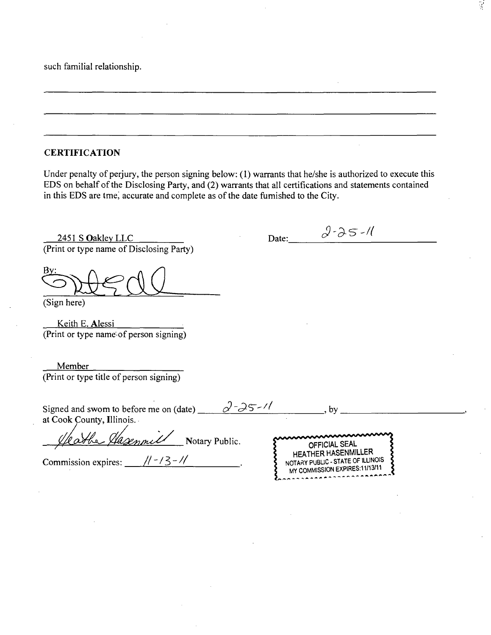such familial relationship.

**CERTIFICATION** 

Under penalty of perjury, the person signing below: (1) warrants that he/she is authorized to execute this EDS on behalf of the Disclosing Party, and (2) warrants that all certifications and statements contained in this EDS are tme, accurate and complete as of the date fumished to the City.

2451 S Oakley LLC (Print or type name of Disclosing Party)

B

(Sign here)

Keith E. Alessi (Print or type name of person signing)

Member (Print or type title of person signing)

| $a^{\prime}$ -25-11<br>Signed and swom to before me on (date)<br>at Cook County, Illinois. | hv                                                                                                                 |
|--------------------------------------------------------------------------------------------|--------------------------------------------------------------------------------------------------------------------|
| he Hasenmell<br>Notary Public.<br>Commission expires:                                      | <b>OFFICIAL SEAL</b><br>HEATHER HASENMILLER<br>NOTARY PUBLIC - STATE OF ILLINOIS<br>MY COMMISSION EXPIRES:11/13/11 |

Date: *<sup>3</sup>-25-1*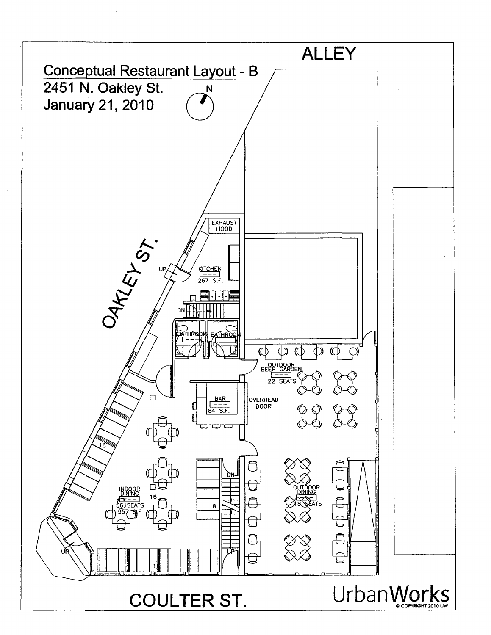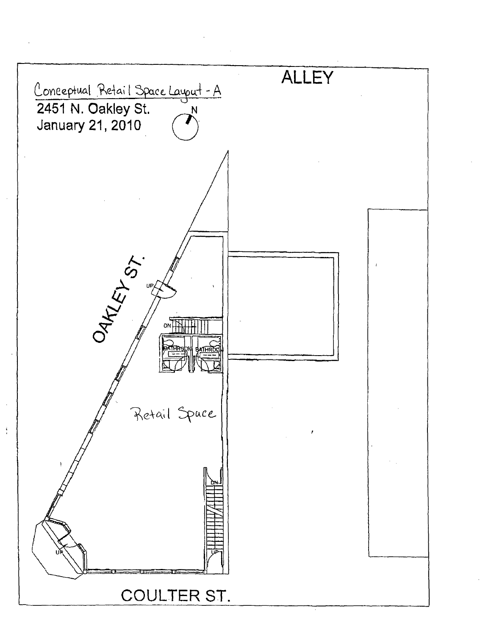